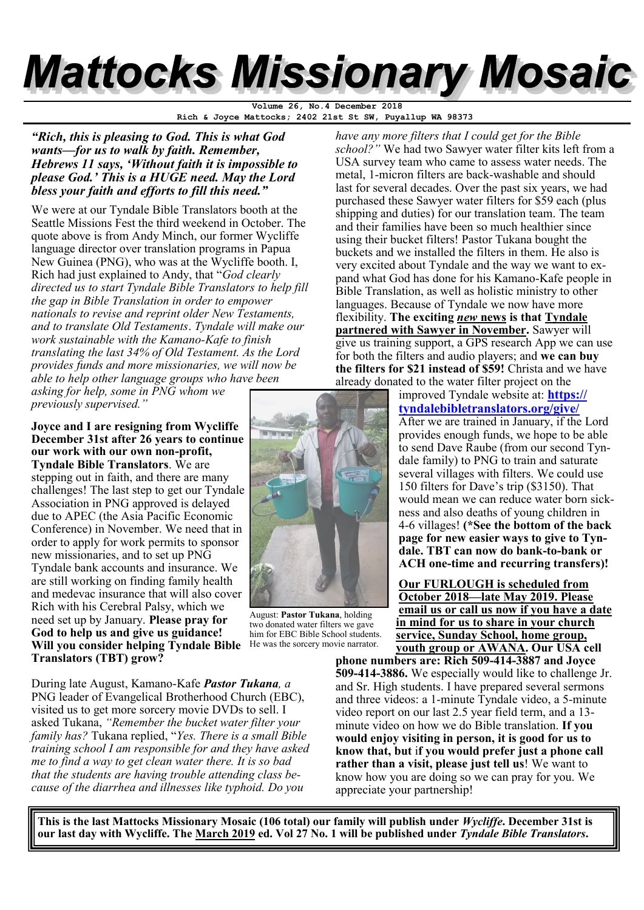# **Mattocks Missionary Mosaic**

**Rich & Joyce Mattocks; 2402 21st St SW, Puyallup WA 98373 Volume 26, No.4 December 2018**

*"Rich, this is pleasing to God. This is what God wants—for us to walk by faith. Remember, Hebrews 11 says, 'Without faith it is impossible to please God.' This is a HUGE need. May the Lord bless your faith and efforts to fill this need."*

We were at our Tyndale Bible Translators booth at the Seattle Missions Fest the third weekend in October. The quote above is from Andy Minch, our former Wycliffe language director over translation programs in Papua New Guinea (PNG), who was at the Wycliffe booth. I, Rich had just explained to Andy, that "*God clearly directed us to start Tyndale Bible Translators to help fill the gap in Bible Translation in order to empower nationals to revise and reprint older New Testaments, and to translate Old Testaments*. *Tyndale will make our work sustainable with the Kamano-Kafe to finish translating the last 34% of Old Testament. As the Lord provides funds and more missionaries, we will now be able to help other language groups who have been asking for help, some in PNG whom we* 

*previously supervised."* 

**Joyce and I are resigning from Wycliffe December 31st after 26 years to continue our work with our own non-profit, Tyndale Bible Translators**. We are stepping out in faith, and there are many challenges! The last step to get our Tyndale Association in PNG approved is delayed due to APEC (the Asia Pacific Economic Conference) in November. We need that in order to apply for work permits to sponsor new missionaries, and to set up PNG Tyndale bank accounts and insurance. We are still working on finding family health and medevac insurance that will also cover Rich with his Cerebral Palsy, which we need set up by January. **Please pray for God to help us and give us guidance! Will you consider helping Tyndale Bible Translators (TBT) grow?** 

During late August, Kamano-Kafe *Pastor Tukana, a*  PNG leader of Evangelical Brotherhood Church (EBC), visited us to get more sorcery movie DVDs to sell. I asked Tukana, *"Remember the bucket water filter your family has?* Tukana replied, "*Yes. There is a small Bible training school I am responsible for and they have asked me to find a way to get clean water there. It is so bad that the students are having trouble attending class because of the diarrhea and illnesses like typhoid. Do you* 



August: **Pastor Tukana**, holding two donated water filters we gave him for EBC Bible School students. He was the sorcery movie narrator.

*have any more filters that I could get for the Bible school?"* We had two Sawyer water filter kits left from a USA survey team who came to assess water needs. The metal, 1-micron filters are back-washable and should last for several decades. Over the past six years, we had purchased these Sawyer water filters for \$59 each (plus shipping and duties) for our translation team. The team and their families have been so much healthier since using their bucket filters! Pastor Tukana bought the buckets and we installed the filters in them. He also is very excited about Tyndale and the way we want to expand what God has done for his Kamano-Kafe people in Bible Translation, as well as holistic ministry to other languages. Because of Tyndale we now have more flexibility. **The exciting** *new* **news is that Tyndale partnered with Sawyer in November.** Sawyer will give us training support, a GPS research App we can use for both the filters and audio players; and **we can buy the filters for \$21 instead of \$59!** Christa and we have already donated to the water filter project on the

> improved Tyndale website at: **[https://](https://tyndalebibletranslators.org/give/) [tyndalebibletranslators.org/give/](https://tyndalebibletranslators.org/give/)** After we are trained in January, if the Lord provides enough funds, we hope to be able to send Dave Raube (from our second Tyndale family) to PNG to train and saturate several villages with filters. We could use 150 filters for Dave's trip (\$3150). That would mean we can reduce water born sickness and also deaths of young children in 4-6 villages! **(\*See the bottom of the back page for new easier ways to give to Tyndale. TBT can now do bank-to-bank or ACH one-time and recurring transfers)!** Î

**Our FURLOUGH is scheduled from October 2018—late May 2019. Please email us or call us now if you have a date in mind for us to share in your church service, Sunday School, home group, youth group or AWANA. Our USA cell** 

**phone numbers are: Rich 509-414-3887 and Joyce 509-414-3886.** We especially would like to challenge Jr. and Sr. High students. I have prepared several sermons and three videos: a 1-minute Tyndale video, a 5-minute video report on our last 2.5 year field term, and a 13 minute video on how we do Bible translation. **If you would enjoy visiting in person, it is good for us to know that, but** i**f you would prefer just a phone call rather than a visit, please just tell us**! We want to know how you are doing so we can pray for you. We appreciate your partnership!

**This is the last Mattocks Missionary Mosaic (106 total) our family will publish under** *Wycliffe***. December 31st is our last day with Wycliffe. The March 2019 ed. Vol 27 No. 1 will be published under** *Tyndale Bible Translators***.**